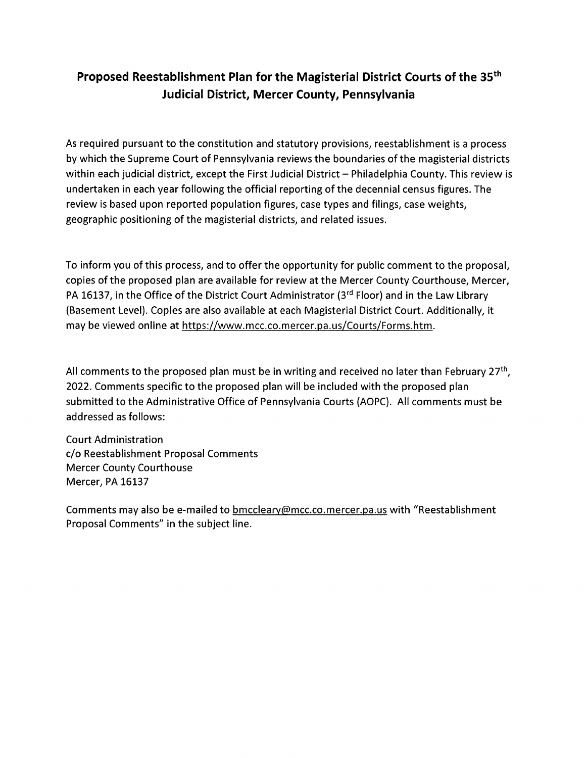### Proposed Reestablishment Plan for the Magisterial District Courts of the 35th Judicial District, Mercer County, Pennsylvania

As required pursuant to the constitution and statutory provisions, reestablishment is <sup>a</sup> process by which the Supreme Court of Pennsylvania reviews the boundaries of the magisterial districts within each judicial district, except the First Judicial District — Philadelphia County. This review is undertaken in each year following the official reporting of the decennial census figures. The review is based upon reported population figures, case types and filings, case weights, geographic positioning of the magisterial districts, and related issues.

To inform you of this process, and to offer the opportunity for public comment to the proposal, copies of the proposed plan are available for review at the Mercer County Courthouse, Mercer, PA 16137, in the Office of the District Court Administrator (3rd Floor) and in the Law Library (Basement Level). Copies are also available at each Magisterial District Court. Additionally, it may be viewed online at https://www.mcc.co.mercer.pa.us/Courts/Forms.htm.

All comments to the proposed plan must be in writing and received no later than February 27<sup>th</sup>, 2022. Comments specific to the proposed plan will be included with the proposed plan submitted to the Administrative Office of Pennsylvania Courts (AOPC). All comments must be addressed as follows:

Court Administration c/o Reestablishment Proposal Comments Mercer County Courthouse Mercer, PA 16137

Comments may also be e-mailed to **bmccleary@mcc.co.mercer.pa.us** with "Reestablishment Proposal Comments" in the subject line.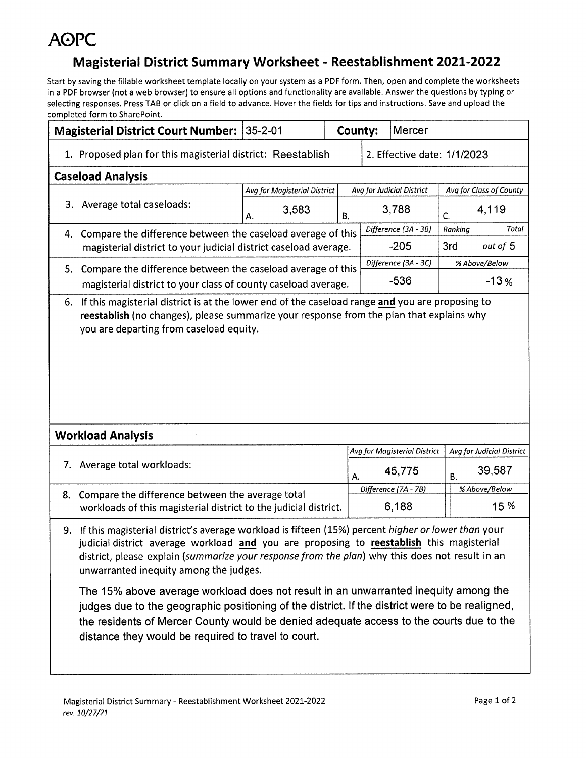### Magisterial District Summary Worksheet -Reestablishment 2021-2022

|                                                                                                                                                                                                                                                                                                                                                                                                                                                                                                                                                                                                                                                                                               | <b>Magisterial District Court Number: 35-2-01</b>                |                              |                             | County: | Mercer |                                  |                           |               |  |
|-----------------------------------------------------------------------------------------------------------------------------------------------------------------------------------------------------------------------------------------------------------------------------------------------------------------------------------------------------------------------------------------------------------------------------------------------------------------------------------------------------------------------------------------------------------------------------------------------------------------------------------------------------------------------------------------------|------------------------------------------------------------------|------------------------------|-----------------------------|---------|--------|----------------------------------|---------------------------|---------------|--|
|                                                                                                                                                                                                                                                                                                                                                                                                                                                                                                                                                                                                                                                                                               | 1. Proposed plan for this magisterial district: Reestablish      |                              | 2. Effective date: 1/1/2023 |         |        |                                  |                           |               |  |
|                                                                                                                                                                                                                                                                                                                                                                                                                                                                                                                                                                                                                                                                                               | <b>Caseload Analysis</b>                                         |                              |                             |         |        |                                  |                           |               |  |
|                                                                                                                                                                                                                                                                                                                                                                                                                                                                                                                                                                                                                                                                                               |                                                                  | Avg for Magisterial District |                             |         |        | <b>Avg for Judicial District</b> | Avg for Class of County   |               |  |
|                                                                                                                                                                                                                                                                                                                                                                                                                                                                                                                                                                                                                                                                                               | 3. Average total caseloads:                                      | 3,583<br>A.                  | В.                          |         |        | 3,788                            | C.                        | 4,119         |  |
|                                                                                                                                                                                                                                                                                                                                                                                                                                                                                                                                                                                                                                                                                               | 4. Compare the difference between the caseload average of this   |                              |                             |         |        | Difference (3A - 3B)             | Ranking                   | Total         |  |
|                                                                                                                                                                                                                                                                                                                                                                                                                                                                                                                                                                                                                                                                                               | magisterial district to your judicial district caseload average. |                              |                             |         |        | $-205$                           | 3rd                       | out of 5      |  |
|                                                                                                                                                                                                                                                                                                                                                                                                                                                                                                                                                                                                                                                                                               | 5. Compare the difference between the caseload average of this   |                              |                             |         |        | Difference (3A - 3C)             | % Above/Below             |               |  |
|                                                                                                                                                                                                                                                                                                                                                                                                                                                                                                                                                                                                                                                                                               | magisterial district to your class of county caseload average.   |                              |                             |         |        | $-536$                           | $-13%$                    |               |  |
|                                                                                                                                                                                                                                                                                                                                                                                                                                                                                                                                                                                                                                                                                               | you are departing from caseload equity.                          |                              |                             |         |        |                                  |                           |               |  |
|                                                                                                                                                                                                                                                                                                                                                                                                                                                                                                                                                                                                                                                                                               | <b>Workload Analysis</b>                                         |                              |                             |         |        |                                  |                           |               |  |
|                                                                                                                                                                                                                                                                                                                                                                                                                                                                                                                                                                                                                                                                                               |                                                                  |                              |                             |         |        | Avg for Magisterial District     | Avg for Judicial District |               |  |
|                                                                                                                                                                                                                                                                                                                                                                                                                                                                                                                                                                                                                                                                                               | 7. Average total workloads:                                      |                              |                             | Α.      | 45,775 |                                  | 39,587<br><b>B.</b>       |               |  |
| 8.                                                                                                                                                                                                                                                                                                                                                                                                                                                                                                                                                                                                                                                                                            | Compare the difference between the average total                 |                              |                             |         |        | Difference (7A - 7B)             |                           | % Above/Below |  |
|                                                                                                                                                                                                                                                                                                                                                                                                                                                                                                                                                                                                                                                                                               | workloads of this magisterial district to the judicial district. |                              |                             |         |        | 6,188                            |                           | 15 %          |  |
| If this magisterial district's average workload is fifteen (15%) percent higher or lower than your<br>9.<br>judicial district average workload and you are proposing to reestablish this magisterial<br>district, please explain (summarize your response from the plan) why this does not result in an<br>unwarranted inequity among the judges.<br>The 15% above average workload does not result in an unwarranted inequity among the<br>judges due to the geographic positioning of the district. If the district were to be realigned,<br>the residents of Mercer County would be denied adequate access to the courts due to the<br>distance they would be required to travel to court. |                                                                  |                              |                             |         |        |                                  |                           |               |  |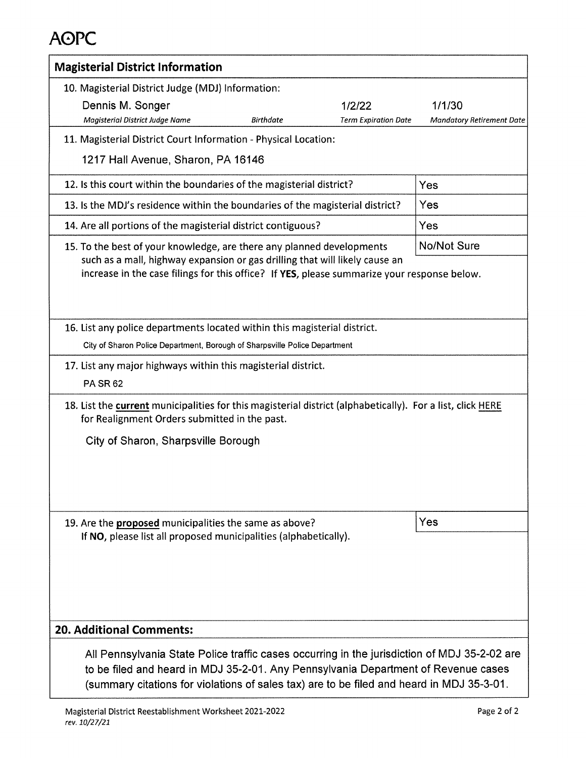| <b>Magisterial District Information</b>                                                                                                                                                                                                                                         |                                            |
|---------------------------------------------------------------------------------------------------------------------------------------------------------------------------------------------------------------------------------------------------------------------------------|--------------------------------------------|
| 10. Magisterial District Judge (MDJ) Information:<br>Dennis M. Songer<br>1/2/22<br>Magisterial District Judge Name<br><b>Birthdate</b><br><b>Term Expiration Date</b>                                                                                                           | 1/1/30<br><b>Mandatory Retirement Date</b> |
| 11. Magisterial District Court Information - Physical Location:                                                                                                                                                                                                                 |                                            |
| 1217 Hall Avenue, Sharon, PA 16146                                                                                                                                                                                                                                              |                                            |
| 12. Is this court within the boundaries of the magisterial district?                                                                                                                                                                                                            | Yes                                        |
| 13. Is the MDJ's residence within the boundaries of the magisterial district?                                                                                                                                                                                                   | Yes                                        |
| 14. Are all portions of the magisterial district contiguous?                                                                                                                                                                                                                    | Yes                                        |
| 15. To the best of your knowledge, are there any planned developments                                                                                                                                                                                                           | No/Not Sure                                |
| such as a mall, highway expansion or gas drilling that will likely cause an<br>increase in the case filings for this office? If YES, please summarize your response below.                                                                                                      |                                            |
| 16. List any police departments located within this magisterial district.                                                                                                                                                                                                       |                                            |
| City of Sharon Police Department, Borough of Sharpsville Police Department                                                                                                                                                                                                      |                                            |
| 17. List any major highways within this magisterial district.                                                                                                                                                                                                                   |                                            |
| <b>PA SR 62</b>                                                                                                                                                                                                                                                                 |                                            |
| 18. List the current municipalities for this magisterial district (alphabetically). For a list, click HERE<br>for Realignment Orders submitted in the past.                                                                                                                     |                                            |
| City of Sharon, Sharpsville Borough                                                                                                                                                                                                                                             |                                            |
|                                                                                                                                                                                                                                                                                 |                                            |
| 19. Are the proposed municipalities the same as above?<br>If NO, please list all proposed municipalities (alphabetically).                                                                                                                                                      | <b>Yes</b>                                 |
| <b>20. Additional Comments:</b>                                                                                                                                                                                                                                                 |                                            |
| All Pennsylvania State Police traffic cases occurring in the jurisdiction of MDJ 35-2-02 are<br>to be filed and heard in MDJ 35-2-01. Any Pennsylvania Department of Revenue cases<br>(summary citations for violations of sales tax) are to be filed and heard in MDJ 35-3-01. |                                            |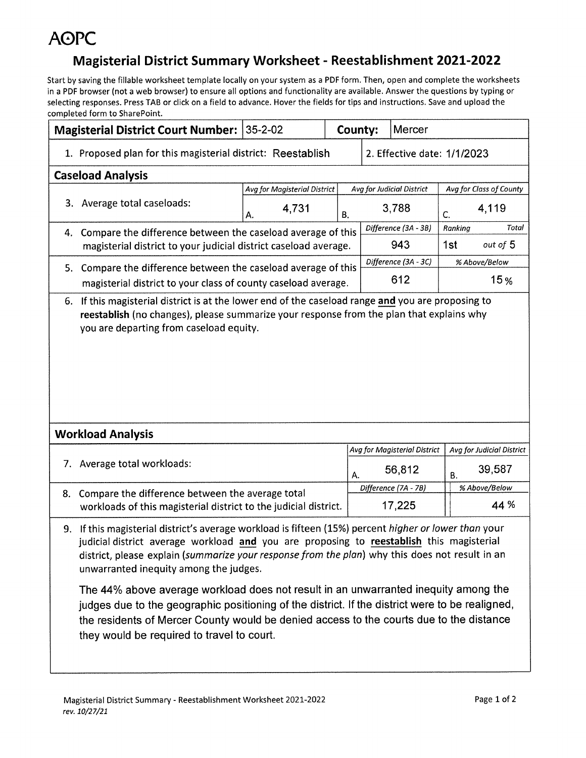### Magisterial District Summary Worksheet - Reestablishment 2021-2022

|    | <b>Magisterial District Court Number: 35-2-02</b>                                                                                                                                                                                                                                                                                                                                                                                                                                                                                                                                                                                                                              |                              | County:                     | Mercer       |                              |                         |                           |  |
|----|--------------------------------------------------------------------------------------------------------------------------------------------------------------------------------------------------------------------------------------------------------------------------------------------------------------------------------------------------------------------------------------------------------------------------------------------------------------------------------------------------------------------------------------------------------------------------------------------------------------------------------------------------------------------------------|------------------------------|-----------------------------|--------------|------------------------------|-------------------------|---------------------------|--|
|    | 1. Proposed plan for this magisterial district: Reestablish                                                                                                                                                                                                                                                                                                                                                                                                                                                                                                                                                                                                                    |                              | 2. Effective date: 1/1/2023 |              |                              |                         |                           |  |
|    | <b>Caseload Analysis</b>                                                                                                                                                                                                                                                                                                                                                                                                                                                                                                                                                                                                                                                       |                              |                             |              |                              |                         |                           |  |
|    |                                                                                                                                                                                                                                                                                                                                                                                                                                                                                                                                                                                                                                                                                | Avg for Magisterial District |                             |              | Avg for Judicial District    | Avg for Class of County |                           |  |
|    | 3. Average total caseloads:                                                                                                                                                                                                                                                                                                                                                                                                                                                                                                                                                                                                                                                    | 4,731<br>Α.                  | В.                          |              | 3,788                        | $\mathsf{C}$            | 4,119                     |  |
|    | 4. Compare the difference between the caseload average of this                                                                                                                                                                                                                                                                                                                                                                                                                                                                                                                                                                                                                 |                              |                             |              | Difference (3A - 3B)         | Ranking                 | Total                     |  |
|    | magisterial district to your judicial district caseload average.                                                                                                                                                                                                                                                                                                                                                                                                                                                                                                                                                                                                               |                              |                             |              | 943                          | 1st                     | out of 5                  |  |
|    | 5. Compare the difference between the caseload average of this                                                                                                                                                                                                                                                                                                                                                                                                                                                                                                                                                                                                                 |                              |                             |              | Difference (3A - 3C)         |                         | % Above/Below             |  |
|    | magisterial district to your class of county caseload average.                                                                                                                                                                                                                                                                                                                                                                                                                                                                                                                                                                                                                 |                              |                             |              | 612                          | 15 <sub>%</sub>         |                           |  |
|    | you are departing from caseload equity.                                                                                                                                                                                                                                                                                                                                                                                                                                                                                                                                                                                                                                        |                              |                             |              |                              |                         |                           |  |
|    | <b>Workload Analysis</b>                                                                                                                                                                                                                                                                                                                                                                                                                                                                                                                                                                                                                                                       |                              |                             |              |                              |                         |                           |  |
|    |                                                                                                                                                                                                                                                                                                                                                                                                                                                                                                                                                                                                                                                                                |                              |                             |              | Avg for Magisterial District |                         | Avg for Judicial District |  |
|    | 7. Average total workloads:                                                                                                                                                                                                                                                                                                                                                                                                                                                                                                                                                                                                                                                    |                              |                             | 56,812<br>А. |                              | 39,587<br><b>B.</b>     |                           |  |
| 8. | Compare the difference between the average total                                                                                                                                                                                                                                                                                                                                                                                                                                                                                                                                                                                                                               |                              |                             |              | Difference (7A - 7B)         |                         | % Above/Below             |  |
|    | workloads of this magisterial district to the judicial district.                                                                                                                                                                                                                                                                                                                                                                                                                                                                                                                                                                                                               |                              |                             |              | 17,225                       |                         | 44 %                      |  |
| 9. | If this magisterial district's average workload is fifteen (15%) percent higher or lower than your<br>judicial district average workload and you are proposing to reestablish this magisterial<br>district, please explain (summarize your response from the plan) why this does not result in an<br>unwarranted inequity among the judges.<br>The 44% above average workload does not result in an unwarranted inequity among the<br>judges due to the geographic positioning of the district. If the district were to be realigned,<br>the residents of Mercer County would be denied access to the courts due to the distance<br>they would be required to travel to court. |                              |                             |              |                              |                         |                           |  |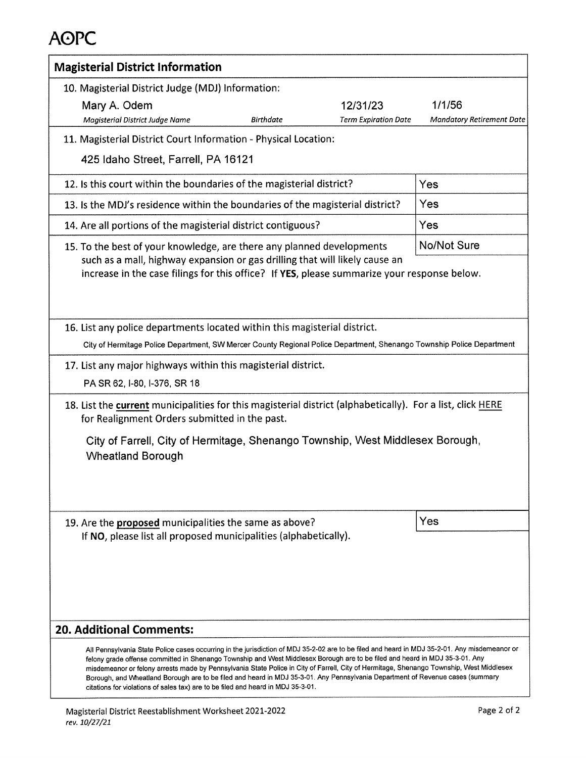| <b>Magisterial District Information</b>                                                                                                                                                                                                                                                                                                                                                                                                                                                                                                                                                        |                                            |  |  |  |  |
|------------------------------------------------------------------------------------------------------------------------------------------------------------------------------------------------------------------------------------------------------------------------------------------------------------------------------------------------------------------------------------------------------------------------------------------------------------------------------------------------------------------------------------------------------------------------------------------------|--------------------------------------------|--|--|--|--|
| 10. Magisterial District Judge (MDJ) Information:<br>Mary A. Odem<br>12/31/23<br><b>Birthdate</b><br><b>Term Expiration Date</b><br>Magisterial District Judge Name                                                                                                                                                                                                                                                                                                                                                                                                                            | 1/1/56<br><b>Mandatory Retirement Date</b> |  |  |  |  |
| 11. Magisterial District Court Information - Physical Location:<br>425 Idaho Street, Farrell, PA 16121                                                                                                                                                                                                                                                                                                                                                                                                                                                                                         |                                            |  |  |  |  |
| 12. Is this court within the boundaries of the magisterial district?                                                                                                                                                                                                                                                                                                                                                                                                                                                                                                                           | Yes                                        |  |  |  |  |
| 13. Is the MDJ's residence within the boundaries of the magisterial district?                                                                                                                                                                                                                                                                                                                                                                                                                                                                                                                  | Yes                                        |  |  |  |  |
| 14. Are all portions of the magisterial district contiguous?                                                                                                                                                                                                                                                                                                                                                                                                                                                                                                                                   | Yes                                        |  |  |  |  |
| <b>No/Not Sure</b><br>15. To the best of your knowledge, are there any planned developments<br>such as a mall, highway expansion or gas drilling that will likely cause an<br>increase in the case filings for this office? If YES, please summarize your response below.                                                                                                                                                                                                                                                                                                                      |                                            |  |  |  |  |
| 16. List any police departments located within this magisterial district.<br>City of Hermitage Police Department, SW Mercer County Regional Police Department, Shenango Township Police Department<br>17. List any major highways within this magisterial district.<br>PA SR 62, I-80, I-376, SR 18                                                                                                                                                                                                                                                                                            |                                            |  |  |  |  |
| 18. List the current municipalities for this magisterial district (alphabetically). For a list, click HERE<br>for Realignment Orders submitted in the past.<br>City of Farrell, City of Hermitage, Shenango Township, West Middlesex Borough,<br><b>Wheatland Borough</b>                                                                                                                                                                                                                                                                                                                      |                                            |  |  |  |  |
| 19. Are the proposed municipalities the same as above?<br>If NO, please list all proposed municipalities (alphabetically).                                                                                                                                                                                                                                                                                                                                                                                                                                                                     | Yes                                        |  |  |  |  |
| <b>20. Additional Comments:</b><br>All Pennsylvania State Police cases occurring in the jurisdiction of MDJ 35-2-02 are to be filed and heard in MDJ 35-2-01. Any misdemeanor or<br>felony grade offense committed in Shenango Township and West Middlesex Borough are to be filed and heard in MDJ 35-3-01. Any<br>misdemeanor or felony arrests made by Pennsylvania State Police in City of Farrell, City of Hermitage, Shenango Township, West Middlesex<br>Borough, and Wheatland Borough are to be filed and heard in MDJ 35-3-01. Any Pennsylvania Department of Revenue cases (summary |                                            |  |  |  |  |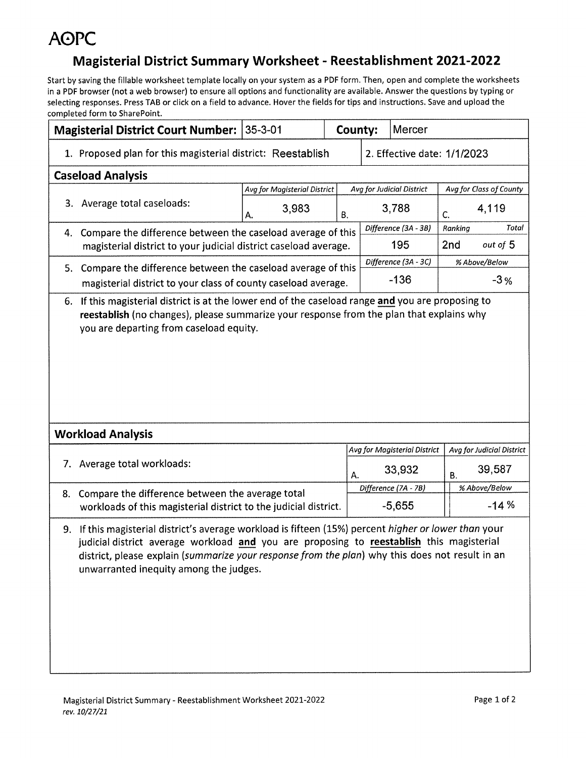### Magisterial District Summary Worksheet - Reestablishment 2021-2022

|                                                                                                                                                                                                                                                                                                                                                   | <b>Magisterial District Court Number: 35-3-01</b>                |                              |    | County:<br>Mercer                            |                             |                                           |               |       |
|---------------------------------------------------------------------------------------------------------------------------------------------------------------------------------------------------------------------------------------------------------------------------------------------------------------------------------------------------|------------------------------------------------------------------|------------------------------|----|----------------------------------------------|-----------------------------|-------------------------------------------|---------------|-------|
|                                                                                                                                                                                                                                                                                                                                                   | 1. Proposed plan for this magisterial district: Reestablish      |                              |    |                                              | 2. Effective date: 1/1/2023 |                                           |               |       |
|                                                                                                                                                                                                                                                                                                                                                   | <b>Caseload Analysis</b>                                         |                              |    |                                              |                             |                                           |               |       |
|                                                                                                                                                                                                                                                                                                                                                   |                                                                  | Avg for Magisterial District |    |                                              | Avg for Judicial District   | Avg for Class of County                   |               |       |
|                                                                                                                                                                                                                                                                                                                                                   | 3. Average total caseloads:                                      | 3,983<br>Α.                  | В. |                                              | 3,788                       | C.                                        | 4,119         |       |
|                                                                                                                                                                                                                                                                                                                                                   | 4. Compare the difference between the caseload average of this   |                              |    |                                              | Difference (3A - 3B)        | Ranking                                   |               | Total |
|                                                                                                                                                                                                                                                                                                                                                   | magisterial district to your judicial district caseload average. |                              |    |                                              | 195                         | 2nd                                       | out of 5      |       |
|                                                                                                                                                                                                                                                                                                                                                   | 5. Compare the difference between the caseload average of this   |                              |    |                                              | Difference (3A - 3C)        |                                           | % Above/Below |       |
|                                                                                                                                                                                                                                                                                                                                                   | magisterial district to your class of county caseload average.   |                              |    |                                              | $-136$                      |                                           | $-3%$         |       |
| you are departing from caseload equity.                                                                                                                                                                                                                                                                                                           |                                                                  |                              |    |                                              |                             |                                           |               |       |
|                                                                                                                                                                                                                                                                                                                                                   | <b>Workload Analysis</b>                                         |                              |    |                                              |                             |                                           |               |       |
|                                                                                                                                                                                                                                                                                                                                                   | 7. Average total workloads:                                      |                              |    | Avg for Magisterial District<br>33,932<br>А. |                             | Avg for Judicial District<br>39,587<br>В. |               |       |
| 8.                                                                                                                                                                                                                                                                                                                                                | Compare the difference between the average total                 |                              |    | Difference (7A - 7B)                         |                             | % Above/Below                             |               |       |
|                                                                                                                                                                                                                                                                                                                                                   | workloads of this magisterial district to the judicial district. |                              |    |                                              | $-5,655$                    |                                           | $-14%$        |       |
| If this magisterial district's average workload is fifteen (15%) percent higher or lower than your<br>9.<br>judicial district average workload and you are proposing to reestablish this magisterial<br>district, please explain (summarize your response from the plan) why this does not result in an<br>unwarranted inequity among the judges. |                                                                  |                              |    |                                              |                             |                                           |               |       |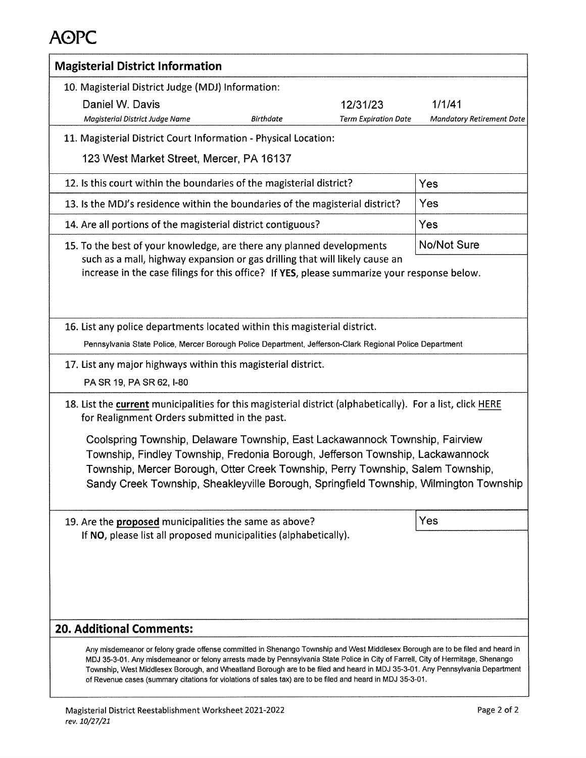| <b>Magisterial District Information</b>                                                                                                                                                                                                                                                                                                                                                                                                |                             |                                  |
|----------------------------------------------------------------------------------------------------------------------------------------------------------------------------------------------------------------------------------------------------------------------------------------------------------------------------------------------------------------------------------------------------------------------------------------|-----------------------------|----------------------------------|
| 10. Magisterial District Judge (MDJ) Information:                                                                                                                                                                                                                                                                                                                                                                                      |                             |                                  |
| Daniel W. Davis                                                                                                                                                                                                                                                                                                                                                                                                                        | 12/31/23                    | 1/1/41                           |
| Magisterial District Judge Name<br><b>Birthdate</b>                                                                                                                                                                                                                                                                                                                                                                                    | <b>Term Expiration Date</b> | <b>Mandatory Retirement Date</b> |
| 11. Magisterial District Court Information - Physical Location:                                                                                                                                                                                                                                                                                                                                                                        |                             |                                  |
| 123 West Market Street, Mercer, PA 16137                                                                                                                                                                                                                                                                                                                                                                                               |                             |                                  |
| 12. Is this court within the boundaries of the magisterial district?                                                                                                                                                                                                                                                                                                                                                                   |                             | Yes                              |
| 13. Is the MDJ's residence within the boundaries of the magisterial district?                                                                                                                                                                                                                                                                                                                                                          |                             | Yes                              |
| 14. Are all portions of the magisterial district contiguous?                                                                                                                                                                                                                                                                                                                                                                           |                             | Yes                              |
| 15. To the best of your knowledge, are there any planned developments                                                                                                                                                                                                                                                                                                                                                                  |                             | No/Not Sure                      |
| such as a mall, highway expansion or gas drilling that will likely cause an<br>increase in the case filings for this office? If YES, please summarize your response below.                                                                                                                                                                                                                                                             |                             |                                  |
| 16. List any police departments located within this magisterial district.                                                                                                                                                                                                                                                                                                                                                              |                             |                                  |
| Pennsylvania State Police, Mercer Borough Police Department, Jefferson-Clark Regional Police Department                                                                                                                                                                                                                                                                                                                                |                             |                                  |
| 17. List any major highways within this magisterial district.                                                                                                                                                                                                                                                                                                                                                                          |                             |                                  |
| PA SR 19, PA SR 62, I-80                                                                                                                                                                                                                                                                                                                                                                                                               |                             |                                  |
| 18. List the current municipalities for this magisterial district (alphabetically). For a list, click HERE<br>for Realignment Orders submitted in the past.                                                                                                                                                                                                                                                                            |                             |                                  |
| Coolspring Township, Delaware Township, East Lackawannock Township, Fairview<br>Township, Findley Township, Fredonia Borough, Jefferson Township, Lackawannock<br>Township, Mercer Borough, Otter Creek Township, Perry Township, Salem Township,<br>Sandy Creek Township, Sheakleyville Borough, Springfield Township, Wilmington Township                                                                                            |                             |                                  |
| 19. Are the proposed municipalities the same as above?<br>If NO, please list all proposed municipalities (alphabetically).                                                                                                                                                                                                                                                                                                             |                             | Yes                              |
| <b>20. Additional Comments:</b><br>Any misdemeanor or felony grade offense committed in Shenango Township and West Middlesex Borough are to be filed and heard in<br>MDJ 35-3-01. Any misdemeanor or felony arrests made by Pennsylvania State Police in City of Farrell, City of Hermitage, Shenango<br>Township, West Middlesex Borough, and Wheatland Borough are to be filed and heard in MDJ 35-3-01. Any Pennsylvania Department |                             |                                  |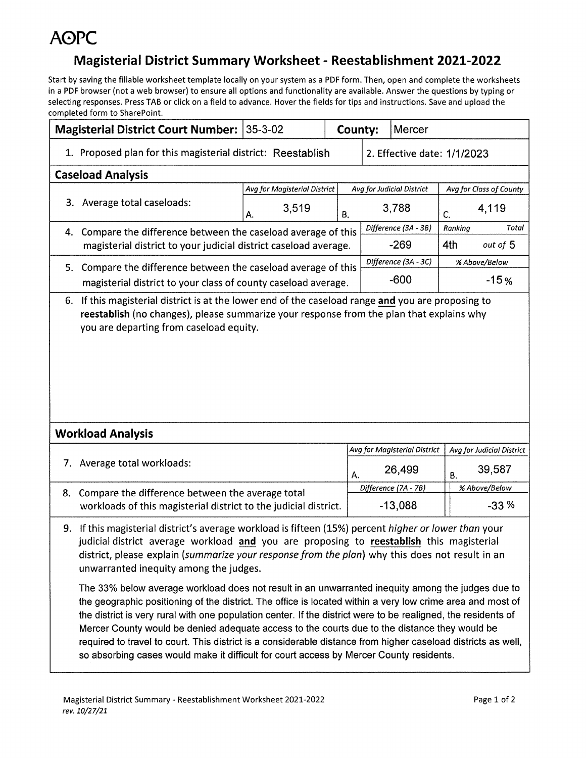### Magisterial District Summary Worksheet - Reestablishment 2021-2022

|    | Magisterial District Court Number:                                                                                                                                                                                                                                                                                                                                                                                                                                                                                                       | $35 - 3 - 02$                |    | County:<br><b>Mercer</b>    |                              |           |                           |
|----|------------------------------------------------------------------------------------------------------------------------------------------------------------------------------------------------------------------------------------------------------------------------------------------------------------------------------------------------------------------------------------------------------------------------------------------------------------------------------------------------------------------------------------------|------------------------------|----|-----------------------------|------------------------------|-----------|---------------------------|
|    | 1. Proposed plan for this magisterial district: Reestablish                                                                                                                                                                                                                                                                                                                                                                                                                                                                              |                              |    | 2. Effective date: 1/1/2023 |                              |           |                           |
|    | <b>Caseload Analysis</b>                                                                                                                                                                                                                                                                                                                                                                                                                                                                                                                 |                              |    |                             |                              |           |                           |
|    |                                                                                                                                                                                                                                                                                                                                                                                                                                                                                                                                          | Avg for Magisterial District |    |                             | Avg for Judicial District    |           | Avg for Class of County   |
|    | 3. Average total caseloads:                                                                                                                                                                                                                                                                                                                                                                                                                                                                                                              | 3,519<br>Α.                  | В. |                             | 3,788                        | C.        | 4,119                     |
|    | 4. Compare the difference between the caseload average of this                                                                                                                                                                                                                                                                                                                                                                                                                                                                           |                              |    |                             | Difference (3A - 3B)         | Ranking   | Total                     |
|    | $-269$<br>magisterial district to your judicial district caseload average.                                                                                                                                                                                                                                                                                                                                                                                                                                                               |                              |    |                             |                              | 4th       | out of 5                  |
|    | 5. Compare the difference between the caseload average of this                                                                                                                                                                                                                                                                                                                                                                                                                                                                           |                              |    |                             | Difference (3A - 3C)         |           | % Above/Below             |
|    | magisterial district to your class of county caseload average.                                                                                                                                                                                                                                                                                                                                                                                                                                                                           |                              |    |                             | $-600$                       | $-15%$    |                           |
|    | reestablish (no changes), please summarize your response from the plan that explains why<br>you are departing from caseload equity.                                                                                                                                                                                                                                                                                                                                                                                                      |                              |    |                             |                              |           |                           |
|    | <b>Workload Analysis</b>                                                                                                                                                                                                                                                                                                                                                                                                                                                                                                                 |                              |    |                             |                              |           |                           |
|    |                                                                                                                                                                                                                                                                                                                                                                                                                                                                                                                                          |                              |    |                             | Avg for Magisterial District |           | Avg for Judicial District |
|    | 7. Average total workloads:                                                                                                                                                                                                                                                                                                                                                                                                                                                                                                              |                              | А. | 26,499                      |                              | <b>B.</b> | 39,587                    |
| 8. | Compare the difference between the average total                                                                                                                                                                                                                                                                                                                                                                                                                                                                                         |                              |    |                             | Difference (7A - 7B)         |           | % Above/Below             |
|    | workloads of this magisterial district to the judicial district.                                                                                                                                                                                                                                                                                                                                                                                                                                                                         |                              |    |                             | $-13,088$                    |           | $-33%$                    |
| 9. | If this magisterial district's average workload is fifteen (15%) percent higher or lower than your<br>judicial district average workload and you are proposing to reestablish this magisterial<br>district, please explain (summarize your response from the plan) why this does not result in an<br>unwarranted inequity among the judges.<br>The 33% below average workload does not result in an unwarranted inequity among the judges due to                                                                                         |                              |    |                             |                              |           |                           |
|    | the geographic positioning of the district. The office is located within a very low crime area and most of<br>the district is very rural with one population center. If the district were to be realigned, the residents of<br>Mercer County would be denied adequate access to the courts due to the distance they would be<br>required to travel to court. This district is a considerable distance from higher caseload districts as well,<br>so absorbing cases would make it difficult for court access by Mercer County residents. |                              |    |                             |                              |           |                           |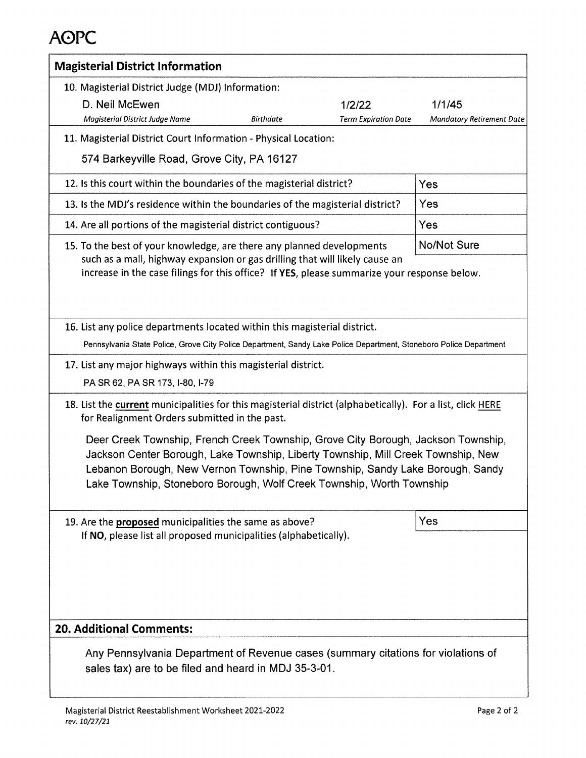| <b>Magisterial District Information</b>                                                                                                                                                                                                                                                                                                                                                                                                                                                          |                                  |  |  |  |  |  |
|--------------------------------------------------------------------------------------------------------------------------------------------------------------------------------------------------------------------------------------------------------------------------------------------------------------------------------------------------------------------------------------------------------------------------------------------------------------------------------------------------|----------------------------------|--|--|--|--|--|
| 10. Magisterial District Judge (MDJ) Information:                                                                                                                                                                                                                                                                                                                                                                                                                                                |                                  |  |  |  |  |  |
| D. Neil McEwen<br>1/2/22                                                                                                                                                                                                                                                                                                                                                                                                                                                                         | 1/1/45                           |  |  |  |  |  |
| Magisterial District Judge Name<br>Birthdate<br><b>Term Expiration Date</b>                                                                                                                                                                                                                                                                                                                                                                                                                      | <b>Mandatory Retirement Date</b> |  |  |  |  |  |
| 11. Magisterial District Court Information - Physical Location:                                                                                                                                                                                                                                                                                                                                                                                                                                  |                                  |  |  |  |  |  |
| 574 Barkeyville Road, Grove City, PA 16127                                                                                                                                                                                                                                                                                                                                                                                                                                                       |                                  |  |  |  |  |  |
| 12. Is this court within the boundaries of the magisterial district?                                                                                                                                                                                                                                                                                                                                                                                                                             | Yes                              |  |  |  |  |  |
| 13. Is the MDJ's residence within the boundaries of the magisterial district?                                                                                                                                                                                                                                                                                                                                                                                                                    | Yes                              |  |  |  |  |  |
| 14. Are all portions of the magisterial district contiguous?                                                                                                                                                                                                                                                                                                                                                                                                                                     | Yes                              |  |  |  |  |  |
| 15. To the best of your knowledge, are there any planned developments                                                                                                                                                                                                                                                                                                                                                                                                                            | <b>No/Not Sure</b>               |  |  |  |  |  |
| such as a mall, highway expansion or gas drilling that will likely cause an<br>increase in the case filings for this office? If YES, please summarize your response below.                                                                                                                                                                                                                                                                                                                       |                                  |  |  |  |  |  |
| 16. List any police departments located within this magisterial district.                                                                                                                                                                                                                                                                                                                                                                                                                        |                                  |  |  |  |  |  |
| Pennsylvania State Police, Grove City Police Department, Sandy Lake Police Department, Stoneboro Police Department                                                                                                                                                                                                                                                                                                                                                                               |                                  |  |  |  |  |  |
| 17. List any major highways within this magisterial district.                                                                                                                                                                                                                                                                                                                                                                                                                                    |                                  |  |  |  |  |  |
| PA SR 62, PA SR 173, I-80, I-79                                                                                                                                                                                                                                                                                                                                                                                                                                                                  |                                  |  |  |  |  |  |
| 18. List the current municipalities for this magisterial district (alphabetically). For a list, click HERE<br>for Realignment Orders submitted in the past.<br>Deer Creek Township, French Creek Township, Grove City Borough, Jackson Township,<br>Jackson Center Borough, Lake Township, Liberty Township, Mill Creek Township, New<br>Lebanon Borough, New Vernon Township, Pine Township, Sandy Lake Borough, Sandy<br>Lake Township, Stoneboro Borough, Wolf Creek Township, Worth Township |                                  |  |  |  |  |  |
| 19. Are the proposed municipalities the same as above?<br>If NO, please list all proposed municipalities (alphabetically).                                                                                                                                                                                                                                                                                                                                                                       | Yes                              |  |  |  |  |  |
| <b>20. Additional Comments:</b>                                                                                                                                                                                                                                                                                                                                                                                                                                                                  |                                  |  |  |  |  |  |
| Any Pennsylvania Department of Revenue cases (summary citations for violations of<br>sales tax) are to be filed and heard in MDJ 35-3-01.                                                                                                                                                                                                                                                                                                                                                        |                                  |  |  |  |  |  |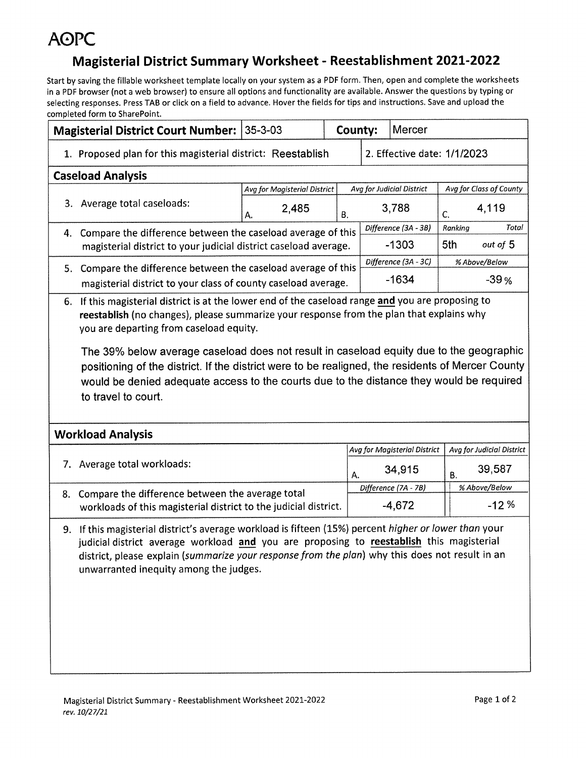### Magisterial District Summary Worksheet - Reestablishment 2021-2022

| Magisterial District Court Number: 35-3-03                                                                                                                                                                                                                                                                                                                                                                                                                                                                                                                   |                              |    | County: | Mercer                       |                         |                           |  |
|--------------------------------------------------------------------------------------------------------------------------------------------------------------------------------------------------------------------------------------------------------------------------------------------------------------------------------------------------------------------------------------------------------------------------------------------------------------------------------------------------------------------------------------------------------------|------------------------------|----|---------|------------------------------|-------------------------|---------------------------|--|
| 1. Proposed plan for this magisterial district: Reestablish                                                                                                                                                                                                                                                                                                                                                                                                                                                                                                  |                              |    |         | 2. Effective date: 1/1/2023  |                         |                           |  |
| <b>Caseload Analysis</b>                                                                                                                                                                                                                                                                                                                                                                                                                                                                                                                                     |                              |    |         |                              |                         |                           |  |
|                                                                                                                                                                                                                                                                                                                                                                                                                                                                                                                                                              | Avg for Magisterial District |    |         | Avg for Judicial District    | Avg for Class of County |                           |  |
| 3. Average total caseloads:                                                                                                                                                                                                                                                                                                                                                                                                                                                                                                                                  | 2,485<br>А.                  | В. |         | 3,788                        | C.                      | 4,119                     |  |
| 4. Compare the difference between the caseload average of this                                                                                                                                                                                                                                                                                                                                                                                                                                                                                               |                              |    |         | Difference (3A - 3B)         | Ranking                 | Total                     |  |
| magisterial district to your judicial district caseload average.                                                                                                                                                                                                                                                                                                                                                                                                                                                                                             |                              |    |         | $-1303$                      | 5th<br>out of 5         |                           |  |
| 5. Compare the difference between the caseload average of this                                                                                                                                                                                                                                                                                                                                                                                                                                                                                               |                              |    |         | Difference (3A - 3C)         |                         | % Above/Below             |  |
| magisterial district to your class of county caseload average.                                                                                                                                                                                                                                                                                                                                                                                                                                                                                               |                              |    |         | $-1634$                      | $-39%$                  |                           |  |
| 6. If this magisterial district is at the lower end of the caseload range and you are proposing to<br>reestablish (no changes), please summarize your response from the plan that explains why<br>you are departing from caseload equity.<br>The 39% below average caseload does not result in caseload equity due to the geographic<br>positioning of the district. If the district were to be realigned, the residents of Mercer County<br>would be denied adequate access to the courts due to the distance they would be required<br>to travel to court. |                              |    |         |                              |                         |                           |  |
| <b>Workload Analysis</b>                                                                                                                                                                                                                                                                                                                                                                                                                                                                                                                                     |                              |    |         |                              |                         |                           |  |
|                                                                                                                                                                                                                                                                                                                                                                                                                                                                                                                                                              |                              |    |         | Avg for Magisterial District |                         | Avg for Judicial District |  |
| 7. Average total workloads:                                                                                                                                                                                                                                                                                                                                                                                                                                                                                                                                  |                              |    | A.      | 34,915                       |                         | 39,587                    |  |
| 8. Compare the difference between the average total                                                                                                                                                                                                                                                                                                                                                                                                                                                                                                          |                              |    |         | Difference (7A - 7B)         |                         | % Above/Below             |  |
| workloads of this magisterial district to the judicial district.                                                                                                                                                                                                                                                                                                                                                                                                                                                                                             |                              |    |         | $-4,672$                     |                         | $-12%$                    |  |
| 9. If this magisterial district's average workload is fifteen (15%) percent higher or lower than your<br>judicial district average workload and you are proposing to reestablish this magisterial<br>district, please explain (summarize your response from the plan) why this does not result in an<br>unwarranted inequity among the judges.                                                                                                                                                                                                               |                              |    |         |                              |                         |                           |  |